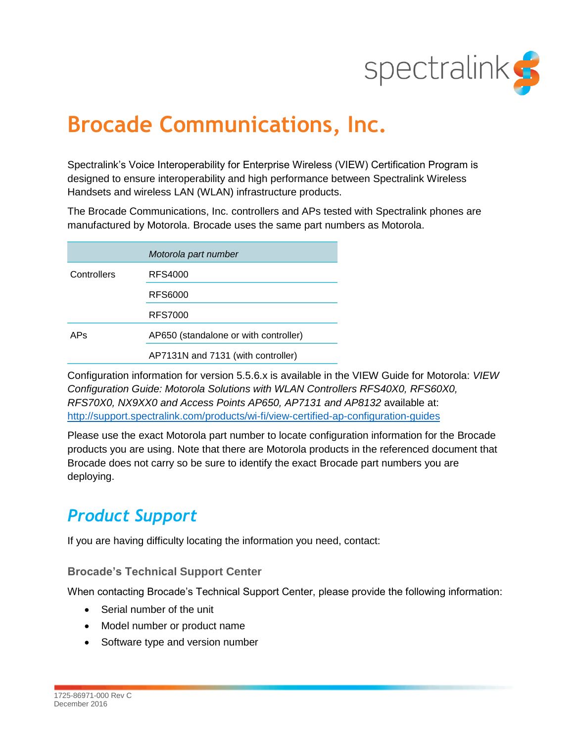

# **Brocade Communications, Inc.**

Spectralink's Voice Interoperability for Enterprise Wireless (VIEW) Certification Program is designed to ensure interoperability and high performance between Spectralink Wireless Handsets and wireless LAN (WLAN) infrastructure products.

The Brocade Communications, Inc. controllers and APs tested with Spectralink phones are manufactured by Motorola. Brocade uses the same part numbers as Motorola.

|             | Motorola part number                  |
|-------------|---------------------------------------|
| Controllers | RFS4000                               |
|             | RFS6000                               |
|             | <b>RFS7000</b>                        |
| APs         | AP650 (standalone or with controller) |
|             | AP7131N and 7131 (with controller)    |

Configuration information for version 5.5.6.x is available in the VIEW Guide for Motorola: *VIEW Configuration Guide: Motorola Solutions with WLAN Controllers RFS40X0, RFS60X0, RFS70X0, NX9XX0 and Access Points AP650, AP7131 and AP8132* available at: <http://support.spectralink.com/products/wi-fi/view-certified-ap-configuration-guides>

Please use the exact Motorola part number to locate configuration information for the Brocade products you are using. Note that there are Motorola products in the referenced document that Brocade does not carry so be sure to identify the exact Brocade part numbers you are deploying.

# *Product Support*

If you are having difficulty locating the information you need, contact:

## **Brocade's Technical Support Center**

When contacting Brocade's Technical Support Center, please provide the following information:

- Serial number of the unit
- Model number or product name
- Software type and version number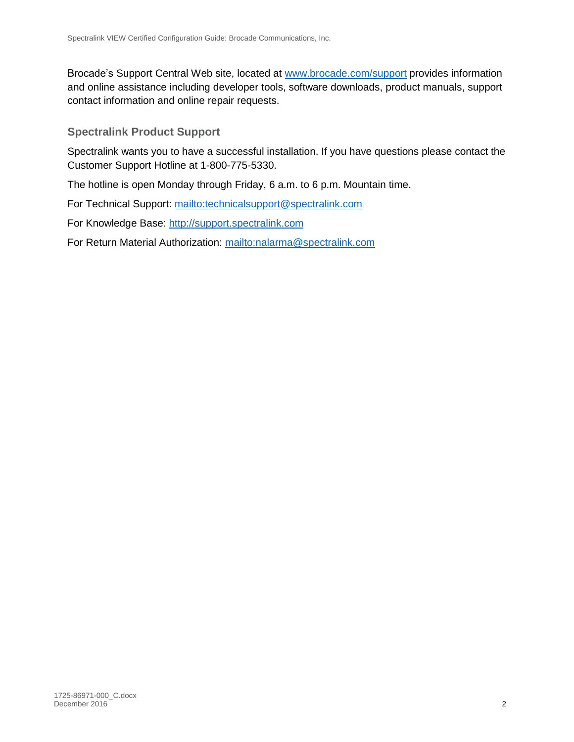Brocade's Support Central Web site, located at [www.brocade.com/support](http://www.brocade.com/support) provides information and online assistance including developer tools, software downloads, product manuals, support contact information and online repair requests.

**Spectralink Product Support**

Spectralink wants you to have a successful installation. If you have questions please contact the Customer Support Hotline at 1-800-775-5330.

The hotline is open Monday through Friday, 6 a.m. to 6 p.m. Mountain time.

For Technical Support:<mailto:technicalsupport@spectralink.com>

For Knowledge Base: [http://support.spectralink.com](http://support.spectralink.com/)

For Return Material Authorization:<mailto:nalarma@spectralink.com>